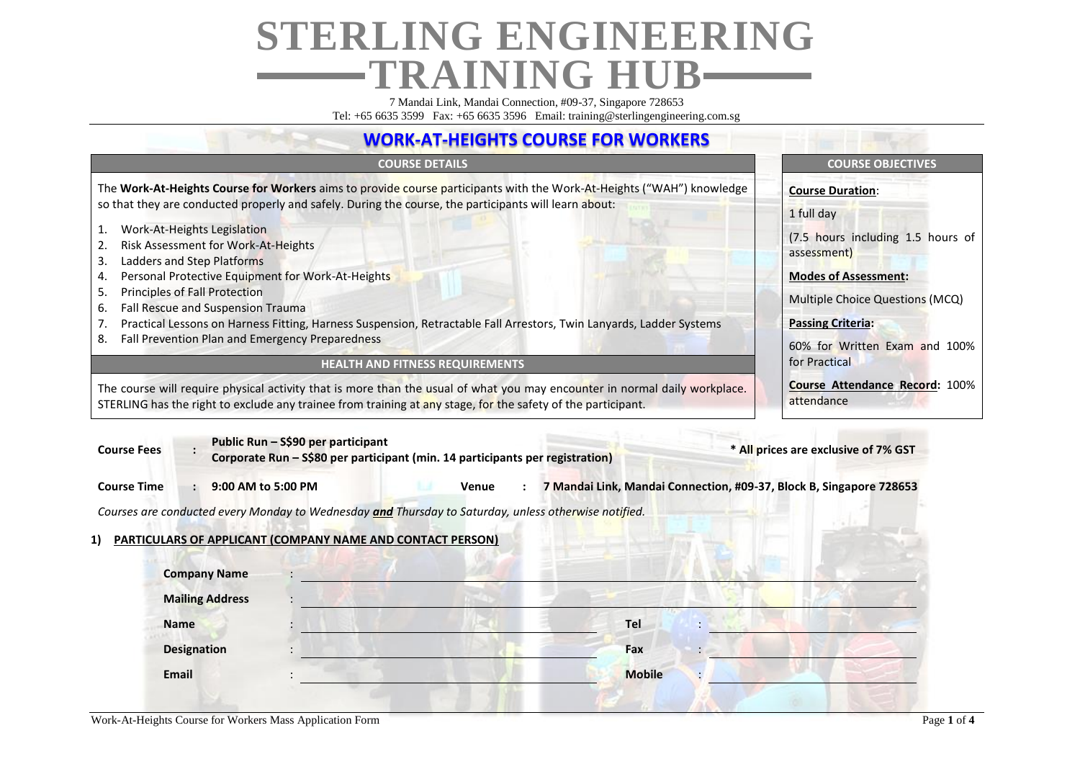# **STERLING ENGINEERING TRAINING HUB**

7 Mandai Link, Mandai Connection, #09-37, Singapore 728653 Tel: +65 6635 3599 Fax: +65 6635 3596 Email: training@sterlingengineering.com.sg

### **WORK-AT-HEIGHTS COURSE FOR WORKERS**

The **Work-At-Heights Course for Workers** aims to provide course participants with the Work-At-Heights ("WAH") knowledge so that they are conducted properly and safely. During the course, the participants will learn about:

- 1. Work-At-Heights Legislation
- 2. Risk Assessment for Work-At-Heights
- 3. Ladders and Step Platforms
- 4. Personal Protective Equipment for Work-At-Heights
- 5. Principles of Fall Protection
- 6. Fall Rescue and Suspension Trauma
- 7. Practical Lessons on Harness Fitting, Harness Suspension, Retractable Fall Arrestors, Twin Lanyards, Ladder Systems
- 8. Fall Prevention Plan and Emergency Preparedness

### **HEALTH AND FITNESS REQUIREMENTS**

The course will require physical activity that is more than the usual of what you may encounter in normal daily workplace. STERLING has the right to exclude any trainee from training at any stage, for the safety of the participant.

### **COURSE DETAILS COURSE OBJECTIVES**

**Course Duration**:

1 full day

(7.5 hours including 1.5 hours of assessment)

### **Modes of Assessment:**

Multiple Choice Questions (MCQ)

**Passing Criteria:** 

60% for Written Exam and 100% for Practical

**Course Attendance Record:** 100% attendance

| Public Run – S\$90 per participant<br><b>Course Fees</b>                                             | Corporate Run - S\$80 per participant (min. 14 participants per registration) |                                                                     | * All prices are exclusive of 7% GST |
|------------------------------------------------------------------------------------------------------|-------------------------------------------------------------------------------|---------------------------------------------------------------------|--------------------------------------|
| 9:00 AM to 5:00 PM<br><b>Course Time</b><br>$\mathbf{L}$                                             | Venue                                                                         | 7 Mandai Link, Mandai Connection, #09-37, Block B, Singapore 728653 |                                      |
| Courses are conducted every Monday to Wednesday and Thursday to Saturday, unless otherwise notified. |                                                                               |                                                                     |                                      |
| PARTICULARS OF APPLICANT (COMPANY NAME AND CONTACT PERSON)<br>1)                                     |                                                                               |                                                                     |                                      |
| <b>Company Name</b>                                                                                  |                                                                               |                                                                     |                                      |
| <b>Mailing Address</b>                                                                               |                                                                               |                                                                     |                                      |
| <b>Name</b>                                                                                          |                                                                               | Tel                                                                 |                                      |
| <b>Designation</b>                                                                                   |                                                                               | Fax                                                                 |                                      |
| <b>Email</b>                                                                                         |                                                                               | <b>Mobile</b>                                                       |                                      |
|                                                                                                      |                                                                               |                                                                     |                                      |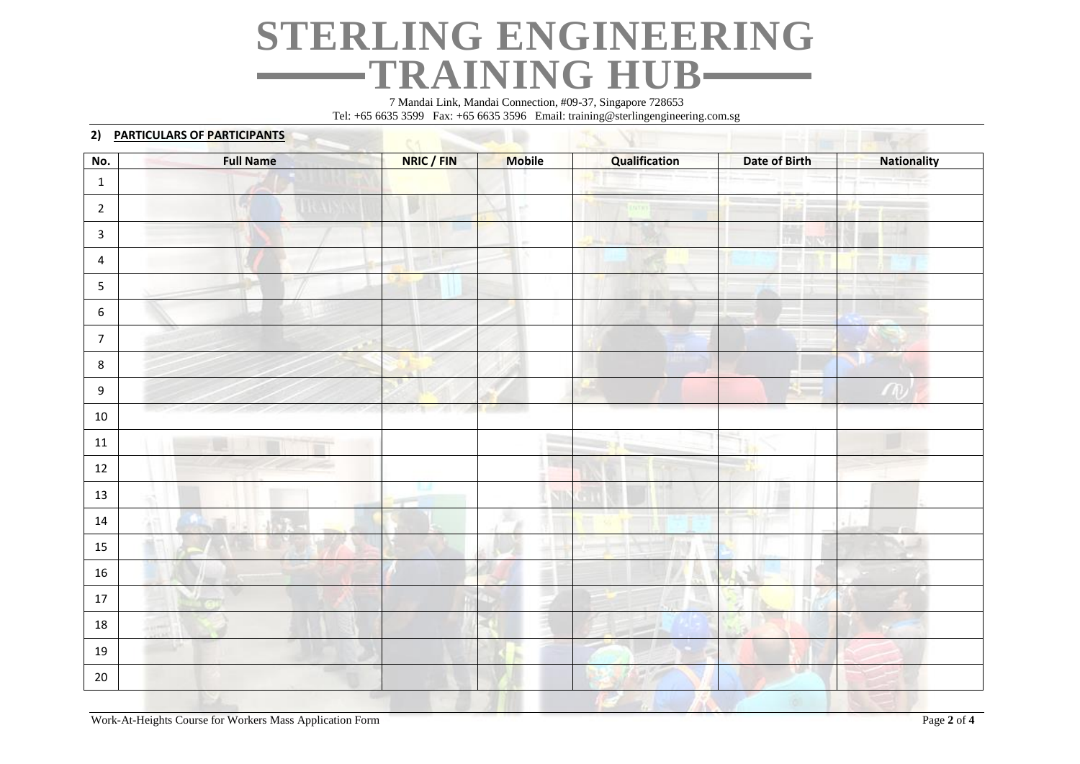## **STERLING ENGINEERING** TRAINING HUB—

7 Mandai Link, Mandai Connection, #09-37, Singapore 728653 Tel: +65 6635 3599 Fax: +65 6635 3596 Email: training@sterlingengineering.com.sg

|                  | 2) PARTICULARS OF PARTICIPANTS |            |               |               |               |                    |
|------------------|--------------------------------|------------|---------------|---------------|---------------|--------------------|
| No.              | <b>Full Name</b>               | NRIC / FIN | <b>Mobile</b> | Qualification | Date of Birth | <b>Nationality</b> |
| $\mathbf{1}$     |                                |            |               |               |               |                    |
| $\overline{2}$   |                                |            |               |               |               |                    |
| $\mathbf{3}$     |                                |            |               |               |               |                    |
| $\overline{4}$   |                                |            |               |               |               |                    |
| $\overline{5}$   |                                |            |               |               |               |                    |
| 6                |                                |            |               |               |               |                    |
| $\overline{7}$   |                                |            |               |               |               |                    |
| $\bf 8$          |                                |            |               |               |               |                    |
| $\boldsymbol{9}$ |                                |            |               |               |               |                    |
| $10\,$           |                                |            |               |               |               |                    |
| $11\,$           |                                |            | <b>Trime</b>  |               |               |                    |
| $12\,$           |                                |            |               |               |               |                    |
| 13               |                                |            |               |               |               |                    |
| 14               |                                |            |               |               |               |                    |
| 15               |                                |            |               |               |               |                    |
| 16               |                                |            |               |               |               |                    |
| $17\,$           |                                |            |               |               |               |                    |
| 18               |                                |            |               |               |               |                    |
| 19               |                                |            |               |               |               |                    |
| 20               |                                |            |               |               | w             |                    |
|                  |                                |            |               |               |               |                    |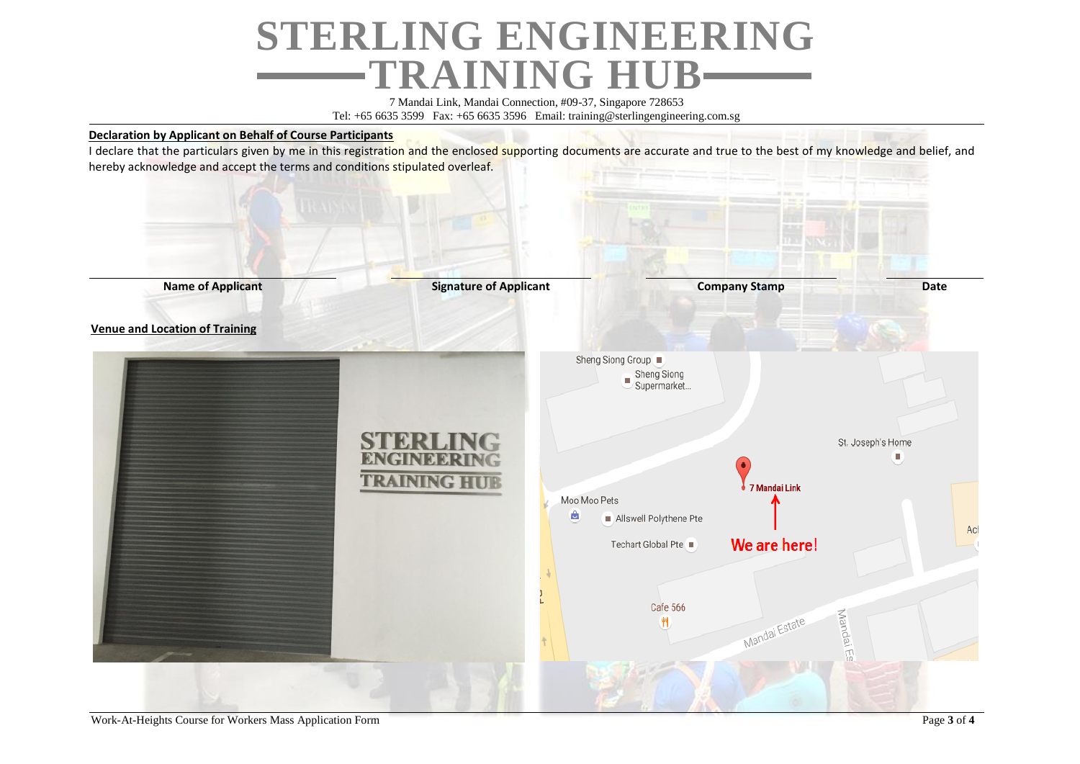# **STERLING ENGINEERING TRAINING HUB**

7 Mandai Link, Mandai Connection, #09-37, Singapore 728653 Tel: +65 6635 3599 Fax: +65 6635 3596 Email: training@sterlingengineering.com.sg

### **Declaration by Applicant on Behalf of Course Participants**

I declare that the particulars given by me in this registration and the enclosed supporting documents are accurate and true to the best of my knowledge and belief, and hereby acknowledge and accept the terms and conditions stipulated overleaf.